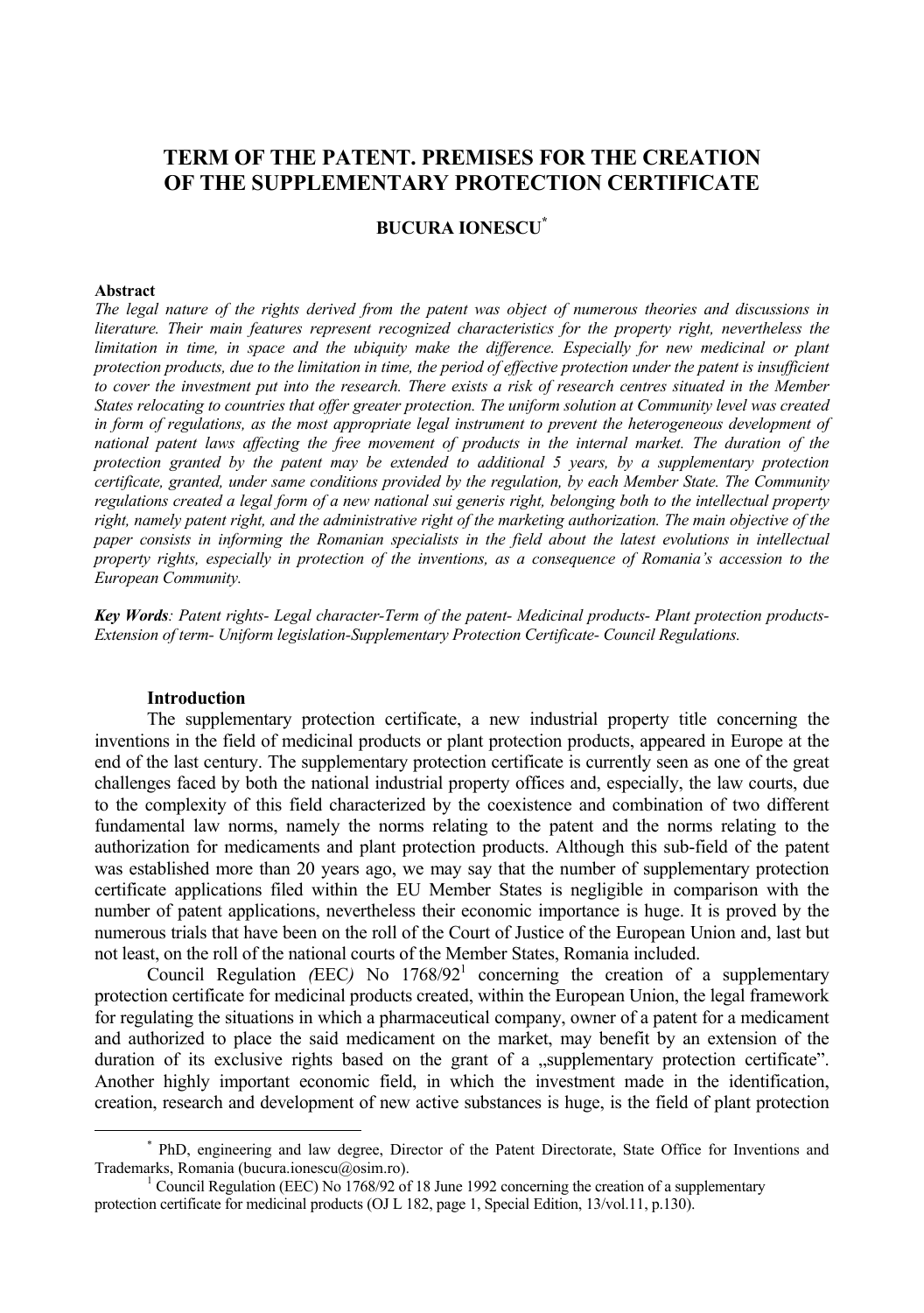# **TERM OF THE PATENT. PREMISES FOR THE CREATION OF THE SUPPLEMENTARY PROTECTION CERTIFICATE**

# **BUCURA IONESCU\***

#### **Abstract**

*The legal nature of the rights derived from the patent was object of numerous theories and discussions in literature. Their main features represent recognized characteristics for the property right, nevertheless the limitation in time, in space and the ubiquity make the difference. Especially for new medicinal or plant protection products, due to the limitation in time, the period of effective protection under the patent is insufficient to cover the investment put into the research. There exists a risk of research centres situated in the Member States relocating to countries that offer greater protection. The uniform solution at Community level was created in form of regulations, as the most appropriate legal instrument to prevent the heterogeneous development of national patent laws affecting the free movement of products in the internal market. The duration of the protection granted by the patent may be extended to additional 5 years, by a supplementary protection certificate, granted, under same conditions provided by the regulation, by each Member State. The Community regulations created a legal form of a new national sui generis right, belonging both to the intellectual property right, namely patent right, and the administrative right of the marketing authorization. The main objective of the paper consists in informing the Romanian specialists in the field about the latest evolutions in intellectual property rights, especially in protection of the inventions, as a consequence of Romania's accession to the European Community.* 

*Key Words: Patent rights- Legal character-Term of the patent- Medicinal products- Plant protection products-Extension of term- Uniform legislation-Supplementary Protection Certificate- Council Regulations.* 

#### **Introduction**

The supplementary protection certificate, a new industrial property title concerning the inventions in the field of medicinal products or plant protection products, appeared in Europe at the end of the last century. The supplementary protection certificate is currently seen as one of the great challenges faced by both the national industrial property offices and, especially, the law courts, due to the complexity of this field characterized by the coexistence and combination of two different fundamental law norms, namely the norms relating to the patent and the norms relating to the authorization for medicaments and plant protection products. Although this sub-field of the patent was established more than 20 years ago, we may say that the number of supplementary protection certificate applications filed within the EU Member States is negligible in comparison with the number of patent applications, nevertheless their economic importance is huge. It is proved by the numerous trials that have been on the roll of the Court of Justice of the European Union and, last but not least, on the roll of the national courts of the Member States, Romania included.

Council Regulation (EEC) No  $1768/92<sup>1</sup>$  concerning the creation of a supplementary protection certificate for medicinal products created, within the European Union, the legal framework for regulating the situations in which a pharmaceutical company, owner of a patent for a medicament and authorized to place the said medicament on the market, may benefit by an extension of the duration of its exclusive rights based on the grant of a "supplementary protection certificate". Another highly important economic field, in which the investment made in the identification, creation, research and development of new active substances is huge, is the field of plant protection

 <sup>\*</sup> PhD, engineering and law degree, Director of the Patent Directorate, State Office for Inventions and Trademarks, Romania (bucura.ionescu@osim.ro). 1

<sup>&</sup>lt;sup>1</sup> Council Regulation (EEC) No 1768/92 of 18 June 1992 concerning the creation of a supplementary protection certificate for medicinal products (OJ L 182, page 1, Special Edition, 13/vol.11, p.130).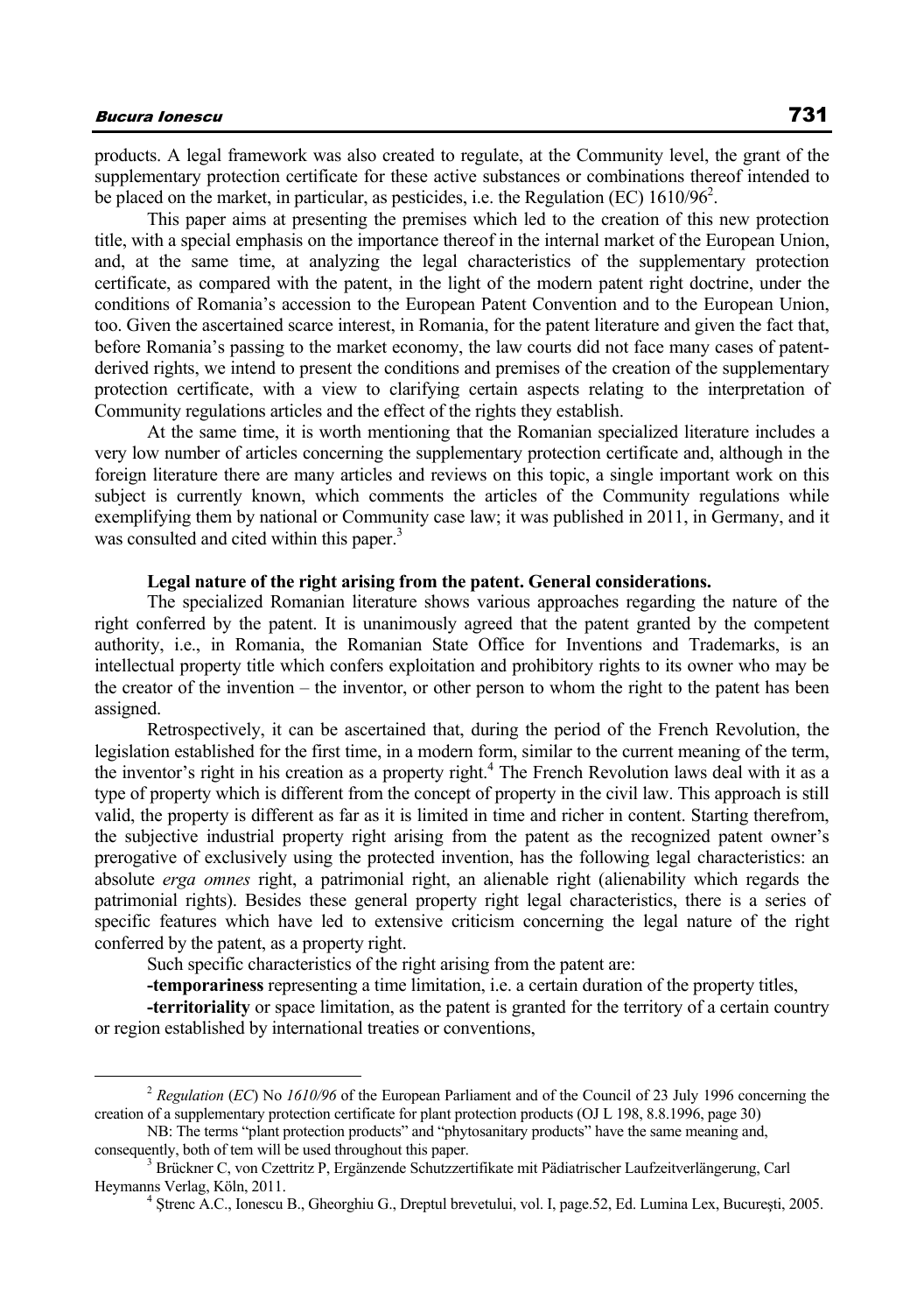products. A legal framework was also created to regulate, at the Community level, the grant of the supplementary protection certificate for these active substances or combinations thereof intended to be placed on the market, in particular, as pesticides, i.e. the Regulation (EC) 1610/96<sup>2</sup>.

This paper aims at presenting the premises which led to the creation of this new protection title, with a special emphasis on the importance thereof in the internal market of the European Union, and, at the same time, at analyzing the legal characteristics of the supplementary protection certificate, as compared with the patent, in the light of the modern patent right doctrine, under the conditions of Romania's accession to the European Patent Convention and to the European Union, too. Given the ascertained scarce interest, in Romania, for the patent literature and given the fact that, before Romania's passing to the market economy, the law courts did not face many cases of patentderived rights, we intend to present the conditions and premises of the creation of the supplementary protection certificate, with a view to clarifying certain aspects relating to the interpretation of Community regulations articles and the effect of the rights they establish.

At the same time, it is worth mentioning that the Romanian specialized literature includes a very low number of articles concerning the supplementary protection certificate and, although in the foreign literature there are many articles and reviews on this topic, a single important work on this subject is currently known, which comments the articles of the Community regulations while exemplifying them by national or Community case law; it was published in 2011, in Germany, and it was consulted and cited within this paper.<sup>3</sup>

### **Legal nature of the right arising from the patent. General considerations.**

The specialized Romanian literature shows various approaches regarding the nature of the right conferred by the patent. It is unanimously agreed that the patent granted by the competent authority, i.e., in Romania, the Romanian State Office for Inventions and Trademarks, is an intellectual property title which confers exploitation and prohibitory rights to its owner who may be the creator of the invention – the inventor, or other person to whom the right to the patent has been assigned.

Retrospectively, it can be ascertained that, during the period of the French Revolution, the legislation established for the first time, in a modern form, similar to the current meaning of the term, the inventor's right in his creation as a property right.<sup>4</sup> The French Revolution laws deal with it as a type of property which is different from the concept of property in the civil law. This approach is still valid, the property is different as far as it is limited in time and richer in content. Starting therefrom, the subjective industrial property right arising from the patent as the recognized patent owner's prerogative of exclusively using the protected invention, has the following legal characteristics: an absolute *erga omnes* right, a patrimonial right, an alienable right (alienability which regards the patrimonial rights). Besides these general property right legal characteristics, there is a series of specific features which have led to extensive criticism concerning the legal nature of the right conferred by the patent, as a property right.

Such specific characteristics of the right arising from the patent are:

**-temporariness** representing a time limitation, i.e. a certain duration of the property titles,

**-territoriality** or space limitation, as the patent is granted for the territory of a certain country or region established by international treaties or conventions,

 <sup>2</sup> *Regulation* (*EC*) No *1610/96* of the European Parliament and of the Council of 23 July 1996 concerning the creation of a supplementary protection certificate for plant protection products (OJ L 198, 8.8.1996, page 30)

NB: The terms "plant protection products" and "phytosanitary products" have the same meaning and, consequently, both of tem will be used throughout this paper.

Brückner C, von Czettritz P, Ergänzende Schutzzertifikate mit Pädiatrischer Laufzeitverlängerung, Carl Heymanns Verlag, Köln, 2011. 4 <sup>Ş</sup>trenc A.C., Ionescu B., Gheorghiu G., Dreptul brevetului, vol. I, page.52, Ed. Lumina Lex, Bucureşti, 2005.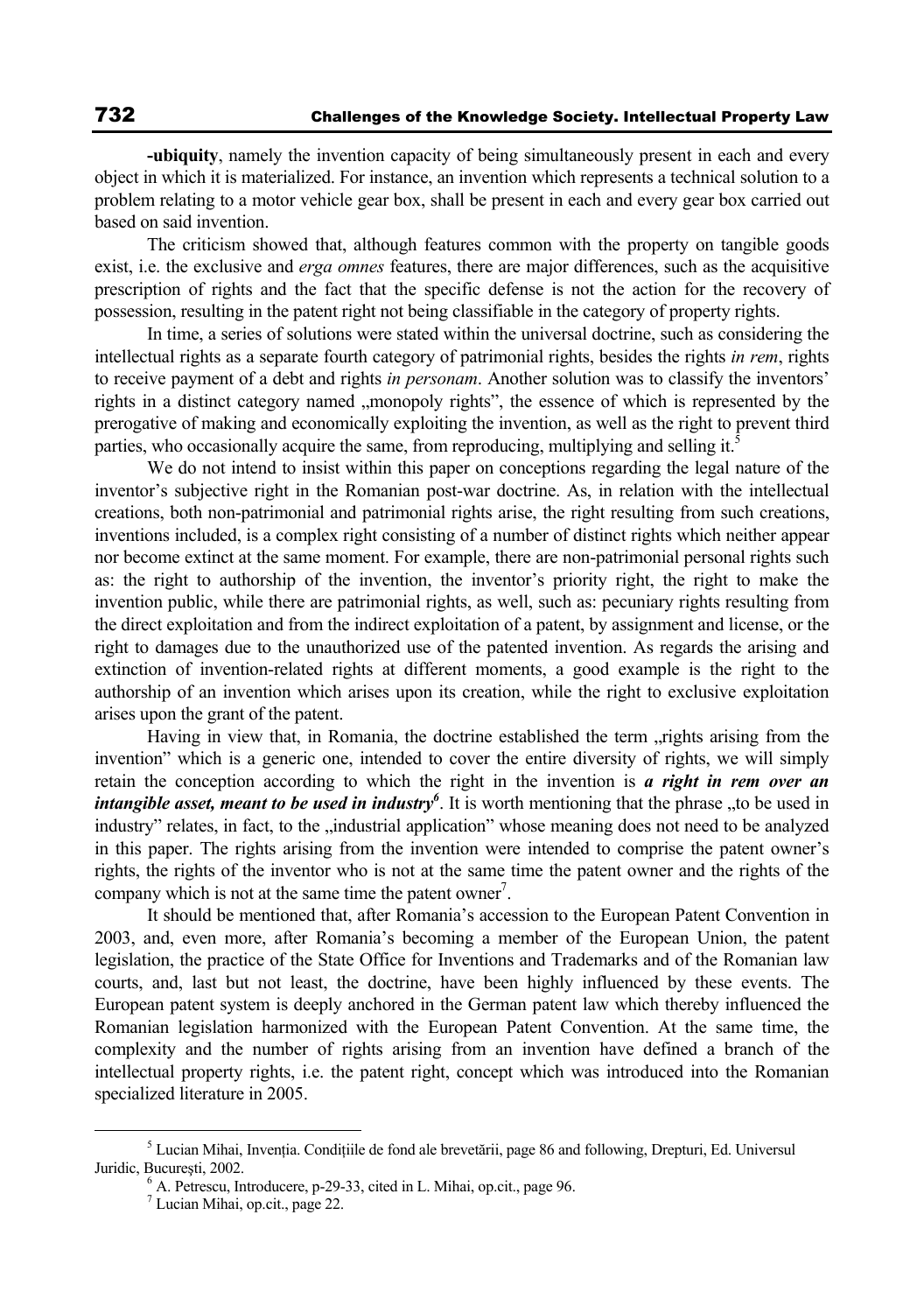**-ubiquity**, namely the invention capacity of being simultaneously present in each and every object in which it is materialized. For instance, an invention which represents a technical solution to a problem relating to a motor vehicle gear box, shall be present in each and every gear box carried out based on said invention.

The criticism showed that, although features common with the property on tangible goods exist, i.e. the exclusive and *erga omnes* features, there are major differences, such as the acquisitive prescription of rights and the fact that the specific defense is not the action for the recovery of possession, resulting in the patent right not being classifiable in the category of property rights.

In time, a series of solutions were stated within the universal doctrine, such as considering the intellectual rights as a separate fourth category of patrimonial rights, besides the rights *in rem*, rights to receive payment of a debt and rights *in personam*. Another solution was to classify the inventors' rights in a distinct category named "monopoly rights", the essence of which is represented by the prerogative of making and economically exploiting the invention, as well as the right to prevent third parties, who occasionally acquire the same, from reproducing, multiplying and selling it.<sup>5</sup>

We do not intend to insist within this paper on conceptions regarding the legal nature of the inventor's subjective right in the Romanian post-war doctrine. As, in relation with the intellectual creations, both non-patrimonial and patrimonial rights arise, the right resulting from such creations, inventions included, is a complex right consisting of a number of distinct rights which neither appear nor become extinct at the same moment. For example, there are non-patrimonial personal rights such as: the right to authorship of the invention, the inventor's priority right, the right to make the invention public, while there are patrimonial rights, as well, such as: pecuniary rights resulting from the direct exploitation and from the indirect exploitation of a patent, by assignment and license, or the right to damages due to the unauthorized use of the patented invention. As regards the arising and extinction of invention-related rights at different moments, a good example is the right to the authorship of an invention which arises upon its creation, while the right to exclusive exploitation arises upon the grant of the patent.

Having in view that, in Romania, the doctrine established the term , rights arising from the invention" which is a generic one, intended to cover the entire diversity of rights, we will simply retain the conception according to which the right in the invention is *a right in rem over an intangible asset, meant to be used in industry*<sup>6</sup>. It is worth mentioning that the phrase , to be used in industry" relates, in fact, to the "industrial application" whose meaning does not need to be analyzed in this paper. The rights arising from the invention were intended to comprise the patent owner's rights, the rights of the inventor who is not at the same time the patent owner and the rights of the company which is not at the same time the patent owner<sup>7</sup>.

It should be mentioned that, after Romania's accession to the European Patent Convention in 2003, and, even more, after Romania's becoming a member of the European Union, the patent legislation, the practice of the State Office for Inventions and Trademarks and of the Romanian law courts, and, last but not least, the doctrine, have been highly influenced by these events. The European patent system is deeply anchored in the German patent law which thereby influenced the Romanian legislation harmonized with the European Patent Convention. At the same time, the complexity and the number of rights arising from an invention have defined a branch of the intellectual property rights, i.e. the patent right, concept which was introduced into the Romanian specialized literature in 2005.

 $rac{1}{5}$ <sup>5</sup> Lucian Mihai, Invenția. Condițiile de fond ale brevetării, page 86 and following, Drepturi, Ed. Universul Juridic, București, 2002.

 $<sup>6</sup>$  A. Petrescu, Introducere, p-29-33, cited in L. Mihai, op.cit., page 96.</sup>

Lucian Mihai, op.cit., page 22.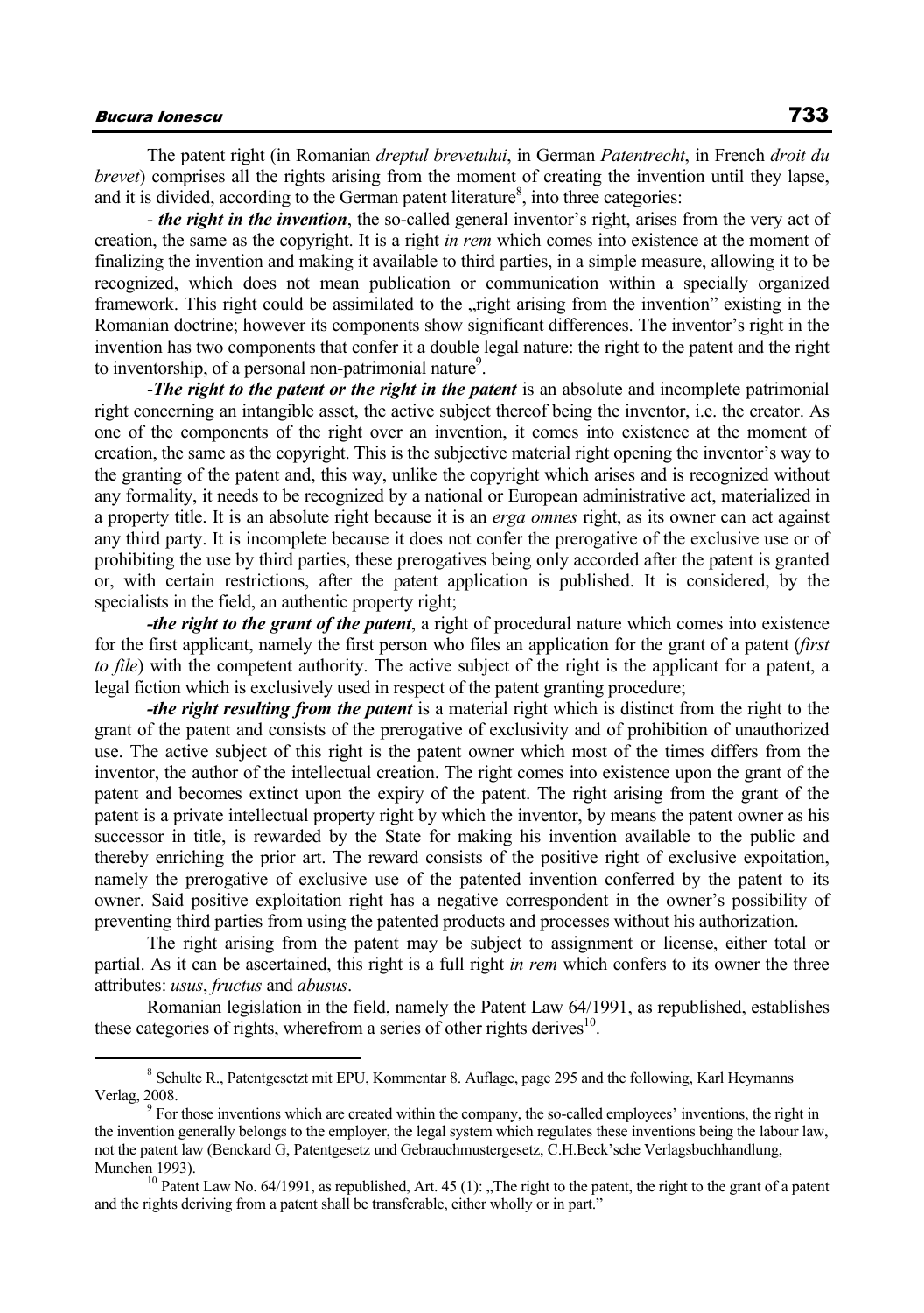The patent right (in Romanian *dreptul brevetului*, in German *Patentrecht*, in French *droit du brevet*) comprises all the rights arising from the moment of creating the invention until they lapse, and it is divided, according to the German patent literature<sup>8</sup>, into three categories:

- *the right in the invention*, the so-called general inventor's right, arises from the very act of creation, the same as the copyright. It is a right *in rem* which comes into existence at the moment of finalizing the invention and making it available to third parties, in a simple measure, allowing it to be recognized, which does not mean publication or communication within a specially organized framework. This right could be assimilated to the , right arising from the invention" existing in the Romanian doctrine; however its components show significant differences. The inventor's right in the invention has two components that confer it a double legal nature: the right to the patent and the right to inventorship, of a personal non-patrimonial nature<sup>9</sup>.

-*The right to the patent or the right in the patent* is an absolute and incomplete patrimonial right concerning an intangible asset, the active subject thereof being the inventor, i.e. the creator. As one of the components of the right over an invention, it comes into existence at the moment of creation, the same as the copyright. This is the subjective material right opening the inventor's way to the granting of the patent and, this way, unlike the copyright which arises and is recognized without any formality, it needs to be recognized by a national or European administrative act, materialized in a property title. It is an absolute right because it is an *erga omnes* right, as its owner can act against any third party. It is incomplete because it does not confer the prerogative of the exclusive use or of prohibiting the use by third parties, these prerogatives being only accorded after the patent is granted or, with certain restrictions, after the patent application is published. It is considered, by the specialists in the field, an authentic property right;

*-the right to the grant of the patent*, a right of procedural nature which comes into existence for the first applicant, namely the first person who files an application for the grant of a patent (*first to file*) with the competent authority. The active subject of the right is the applicant for a patent, a legal fiction which is exclusively used in respect of the patent granting procedure;

*-the right resulting from the patent* is a material right which is distinct from the right to the grant of the patent and consists of the prerogative of exclusivity and of prohibition of unauthorized use. The active subject of this right is the patent owner which most of the times differs from the inventor, the author of the intellectual creation. The right comes into existence upon the grant of the patent and becomes extinct upon the expiry of the patent. The right arising from the grant of the patent is a private intellectual property right by which the inventor, by means the patent owner as his successor in title, is rewarded by the State for making his invention available to the public and thereby enriching the prior art. The reward consists of the positive right of exclusive expoitation, namely the prerogative of exclusive use of the patented invention conferred by the patent to its owner. Said positive exploitation right has a negative correspondent in the owner's possibility of preventing third parties from using the patented products and processes without his authorization.

The right arising from the patent may be subject to assignment or license, either total or partial. As it can be ascertained, this right is a full right *in rem* which confers to its owner the three attributes: *usus*, *fructus* and *abusus*.

Romanian legislation in the field, namely the Patent Law 64/1991, as republished, establishes these categories of rights, wherefrom a series of other rights derives $10$ .

 $\frac{1}{8}$ <sup>8</sup> Schulte R., Patentgesetzt mit EPU, Kommentar 8. Auflage, page 295 and the following, Karl Heymanns Verlag, 2008.

For those inventions which are created within the company, the so-called employees' inventions, the right in the invention generally belongs to the employer, the legal system which regulates these inventions being the labour law, not the patent law (Benckard G, Patentgesetz und Gebrauchmustergesetz, C.H.Beck'sche Verlagsbuchhandlung, Munchen 1993).<br><sup>10</sup> Patent Law No. 64/1991, as republished, Art. 45 (1): "The right to the patent, the right to the grant of a patent

and the rights deriving from a patent shall be transferable, either wholly or in part."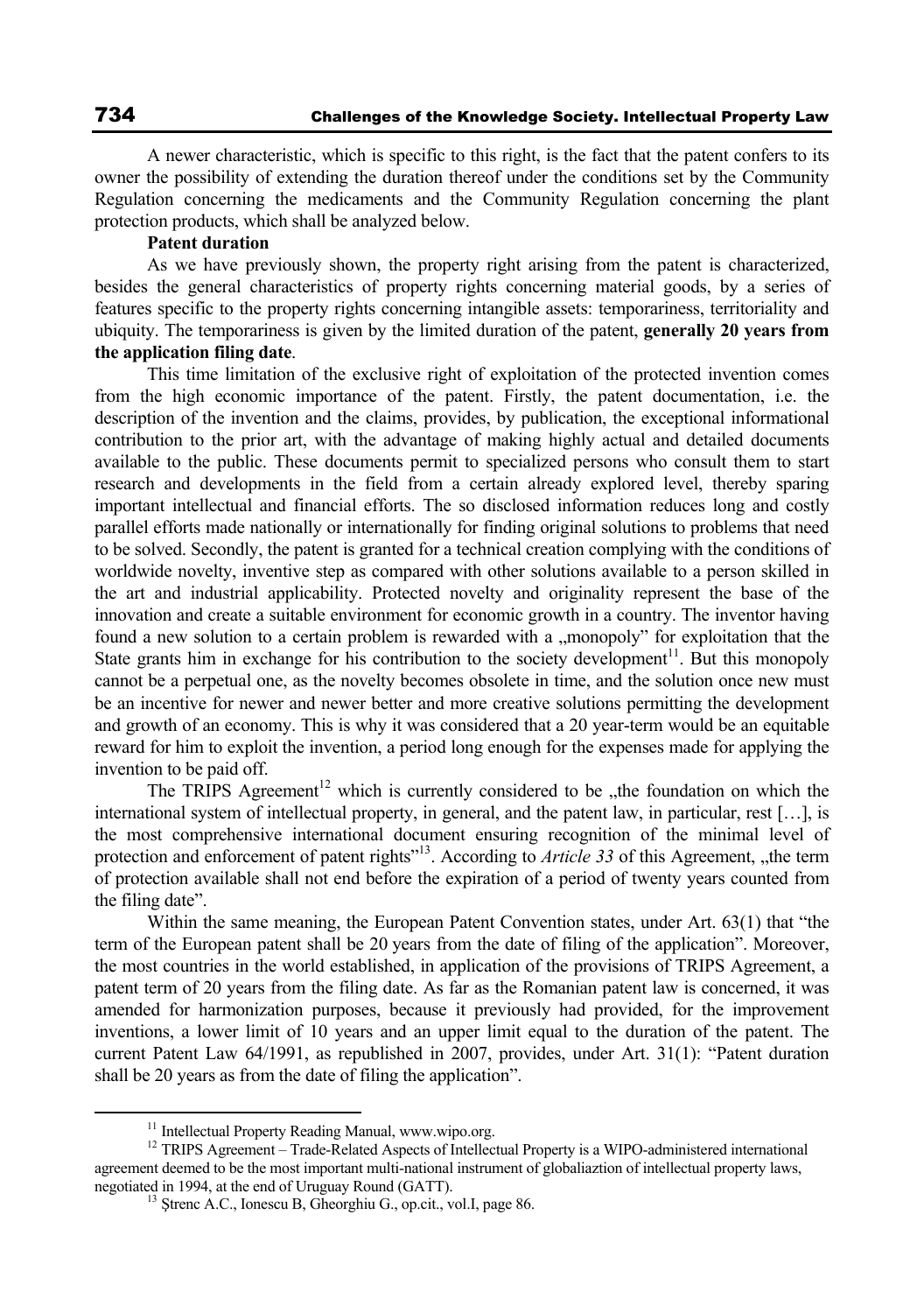A newer characteristic, which is specific to this right, is the fact that the patent confers to its owner the possibility of extending the duration thereof under the conditions set by the Community Regulation concerning the medicaments and the Community Regulation concerning the plant protection products, which shall be analyzed below.

## **Patent duration**

As we have previously shown, the property right arising from the patent is characterized, besides the general characteristics of property rights concerning material goods, by a series of features specific to the property rights concerning intangible assets: temporariness, territoriality and ubiquity. The temporariness is given by the limited duration of the patent, **generally 20 years from the application filing date**.

This time limitation of the exclusive right of exploitation of the protected invention comes from the high economic importance of the patent. Firstly, the patent documentation, i.e. the description of the invention and the claims, provides, by publication, the exceptional informational contribution to the prior art, with the advantage of making highly actual and detailed documents available to the public. These documents permit to specialized persons who consult them to start research and developments in the field from a certain already explored level, thereby sparing important intellectual and financial efforts. The so disclosed information reduces long and costly parallel efforts made nationally or internationally for finding original solutions to problems that need to be solved. Secondly, the patent is granted for a technical creation complying with the conditions of worldwide novelty, inventive step as compared with other solutions available to a person skilled in the art and industrial applicability. Protected novelty and originality represent the base of the innovation and create a suitable environment for economic growth in a country. The inventor having found a new solution to a certain problem is rewarded with a "monopoly" for exploitation that the State grants him in exchange for his contribution to the society development $11$ . But this monopoly cannot be a perpetual one, as the novelty becomes obsolete in time, and the solution once new must be an incentive for newer and newer better and more creative solutions permitting the development and growth of an economy. This is why it was considered that a 20 year-term would be an equitable reward for him to exploit the invention, a period long enough for the expenses made for applying the invention to be paid off.

The TRIPS Agreement<sup>12</sup> which is currently considered to be  $\mu$ the foundation on which the international system of intellectual property, in general, and the patent law, in particular, rest […], is the most comprehensive international document ensuring recognition of the minimal level of protection and enforcement of patent rights"<sup>13</sup>. According to *Article 33* of this Agreement, "the term of protection available shall not end before the expiration of a period of twenty years counted from the filing date".

Within the same meaning, the European Patent Convention states, under Art. 63(1) that "the term of the European patent shall be 20 years from the date of filing of the application". Moreover, the most countries in the world established, in application of the provisions of TRIPS Agreement, a patent term of 20 years from the filing date. As far as the Romanian patent law is concerned, it was amended for harmonization purposes, because it previously had provided, for the improvement inventions, a lower limit of 10 years and an upper limit equal to the duration of the patent. The current Patent Law 64/1991, as republished in 2007, provides, under Art. 31(1): "Patent duration shall be 20 years as from the date of filing the application".

<sup>&</sup>lt;sup>11</sup> Intellectual Property Reading Manual, www.wipo.org.<br><sup>12</sup> TRIPS Agreement – Trade-Related Aspects of Intellectual Property is a WIPO-administered international agreement deemed to be the most important multi-national instrument of globaliaztion of intellectual property laws, negotiated in 1994, at the end of Uruguay Round (GATT).<br><sup>13</sup> Strenc A.C., Ionescu B, Gheorghiu G., op.cit., vol.I, page 86.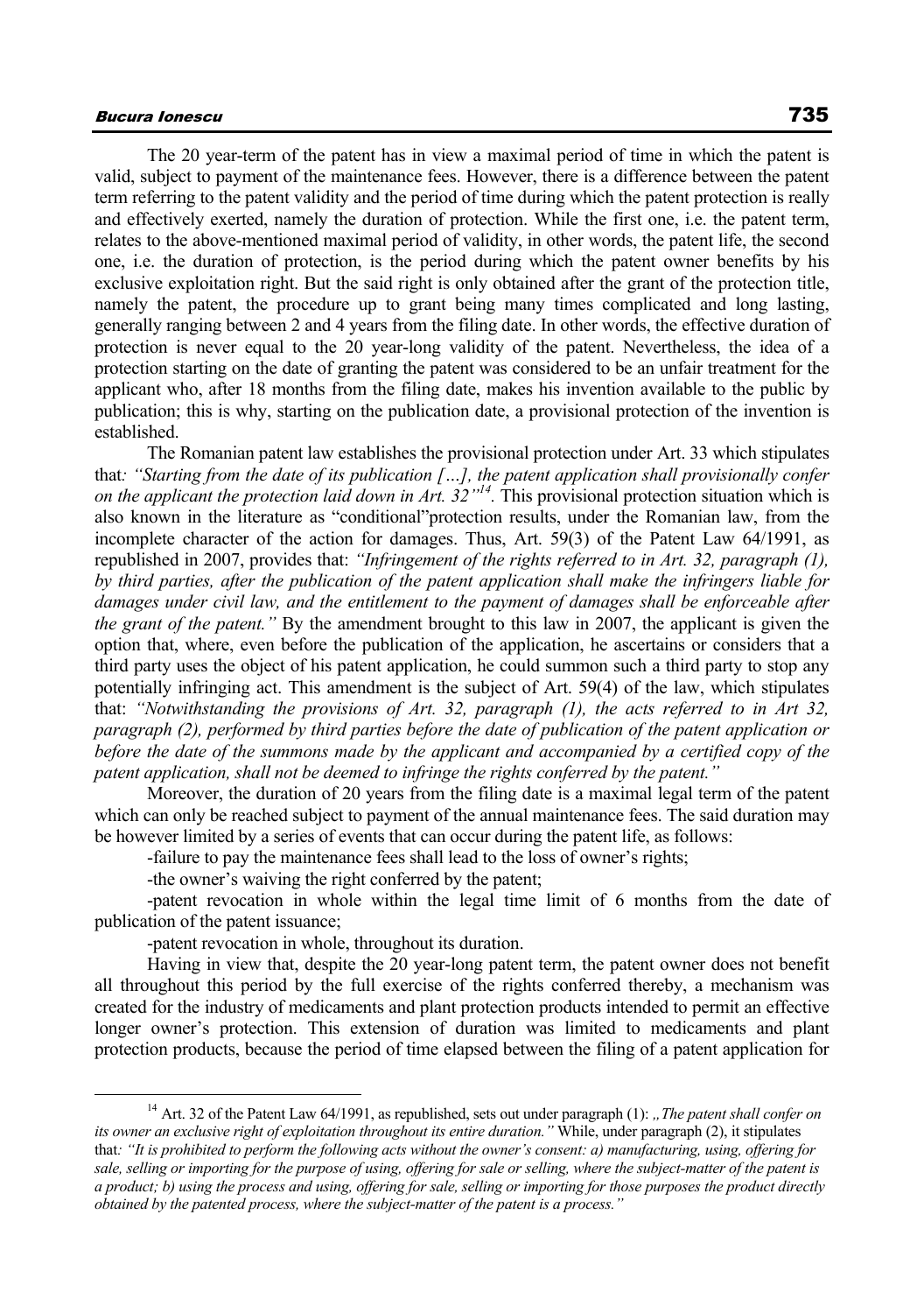The 20 year-term of the patent has in view a maximal period of time in which the patent is valid, subject to payment of the maintenance fees. However, there is a difference between the patent term referring to the patent validity and the period of time during which the patent protection is really and effectively exerted, namely the duration of protection. While the first one, i.e. the patent term, relates to the above-mentioned maximal period of validity, in other words, the patent life, the second one, i.e. the duration of protection, is the period during which the patent owner benefits by his exclusive exploitation right. But the said right is only obtained after the grant of the protection title, namely the patent, the procedure up to grant being many times complicated and long lasting, generally ranging between 2 and 4 years from the filing date. In other words, the effective duration of protection is never equal to the 20 year-long validity of the patent. Nevertheless, the idea of a protection starting on the date of granting the patent was considered to be an unfair treatment for the applicant who, after 18 months from the filing date, makes his invention available to the public by publication; this is why, starting on the publication date, a provisional protection of the invention is established.

The Romanian patent law establishes the provisional protection under Art. 33 which stipulates that*: "Starting from the date of its publication […], the patent application shall provisionally confer on the applicant the protection laid down in Art. 32"14.* This provisional protection situation which is also known in the literature as "conditional"protection results, under the Romanian law, from the incomplete character of the action for damages. Thus, Art. 59(3) of the Patent Law 64/1991, as republished in 2007, provides that: *"Infringement of the rights referred to in Art. 32, paragraph (1), by third parties, after the publication of the patent application shall make the infringers liable for damages under civil law, and the entitlement to the payment of damages shall be enforceable after the grant of the patent."* By the amendment brought to this law in 2007, the applicant is given the option that, where, even before the publication of the application, he ascertains or considers that a third party uses the object of his patent application, he could summon such a third party to stop any potentially infringing act. This amendment is the subject of Art. 59(4) of the law, which stipulates that: *"Notwithstanding the provisions of Art. 32, paragraph (1), the acts referred to in Art 32, paragraph (2), performed by third parties before the date of publication of the patent application or before the date of the summons made by the applicant and accompanied by a certified copy of the patent application, shall not be deemed to infringe the rights conferred by the patent."*

Moreover, the duration of 20 years from the filing date is a maximal legal term of the patent which can only be reached subject to payment of the annual maintenance fees. The said duration may be however limited by a series of events that can occur during the patent life, as follows:

-failure to pay the maintenance fees shall lead to the loss of owner's rights;

-the owner's waiving the right conferred by the patent;

-patent revocation in whole within the legal time limit of 6 months from the date of publication of the patent issuance;

-patent revocation in whole, throughout its duration.

Having in view that, despite the 20 year-long patent term, the patent owner does not benefit all throughout this period by the full exercise of the rights conferred thereby, a mechanism was created for the industry of medicaments and plant protection products intended to permit an effective longer owner's protection. This extension of duration was limited to medicaments and plant protection products, because the period of time elapsed between the filing of a patent application for

<sup>&</sup>lt;sup>14</sup> Art. 32 of the Patent Law 64/1991, as republished, sets out under paragraph (1): *"The patent shall confer on its owner an exclusive right of exploitation throughout its entire duration."* While, under paragraph (2), it stipulates that*: "It is prohibited to perform the following acts without the owner's consent: a) manufacturing, using, offering for sale, selling or importing for the purpose of using, offering for sale or selling, where the subject-matter of the patent is a product; b) using the process and using, offering for sale, selling or importing for those purposes the product directly obtained by the patented process, where the subject-matter of the patent is a process."*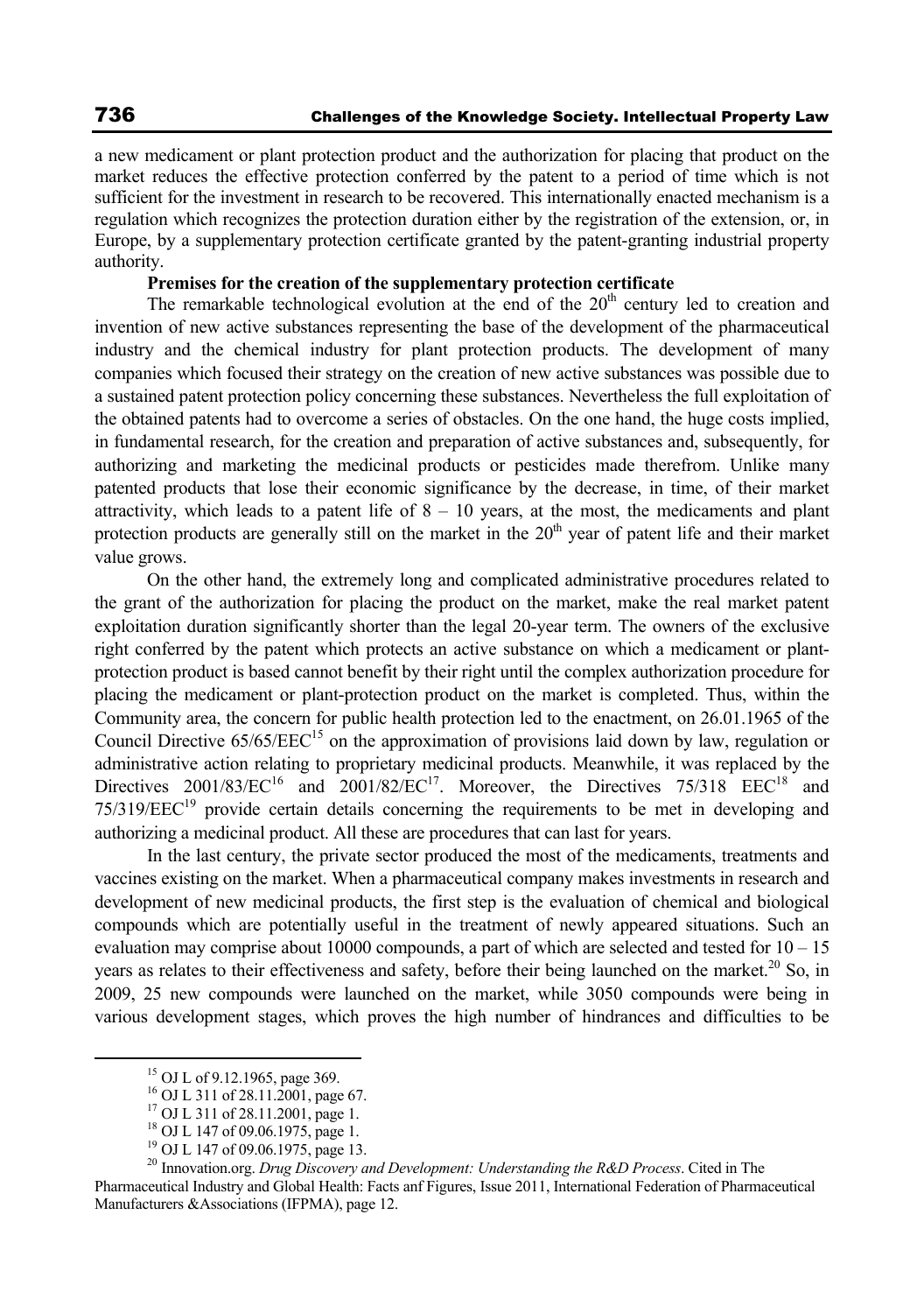a new medicament or plant protection product and the authorization for placing that product on the market reduces the effective protection conferred by the patent to a period of time which is not sufficient for the investment in research to be recovered. This internationally enacted mechanism is a regulation which recognizes the protection duration either by the registration of the extension, or, in Europe, by a supplementary protection certificate granted by the patent-granting industrial property authority.

# **Premises for the creation of the supplementary protection certificate**

The remarkable technological evolution at the end of the  $20<sup>th</sup>$  century led to creation and invention of new active substances representing the base of the development of the pharmaceutical industry and the chemical industry for plant protection products. The development of many companies which focused their strategy on the creation of new active substances was possible due to a sustained patent protection policy concerning these substances. Nevertheless the full exploitation of the obtained patents had to overcome a series of obstacles. On the one hand, the huge costs implied, in fundamental research, for the creation and preparation of active substances and, subsequently, for authorizing and marketing the medicinal products or pesticides made therefrom. Unlike many patented products that lose their economic significance by the decrease, in time, of their market attractivity, which leads to a patent life of  $8 - 10$  years, at the most, the medicaments and plant protection products are generally still on the market in the  $20<sup>th</sup>$  year of patent life and their market value grows.

On the other hand, the extremely long and complicated administrative procedures related to the grant of the authorization for placing the product on the market, make the real market patent exploitation duration significantly shorter than the legal 20-year term. The owners of the exclusive right conferred by the patent which protects an active substance on which a medicament or plantprotection product is based cannot benefit by their right until the complex authorization procedure for placing the medicament or plant-protection product on the market is completed. Thus, within the Community area, the concern for public health protection led to the enactment, on 26.01.1965 of the Council Directive  $65/65/EEC<sup>15</sup>$  on the approximation of provisions laid down by law, regulation or administrative action relating to proprietary medicinal products. Meanwhile, it was replaced by the Directives  $2001/83/EC^{16}$  and  $2001/82/EC^{17}$ . Moreover, the Directives 75/318 EEC<sup>18</sup> and  $75/319/EEC<sup>19</sup>$  provide certain details concerning the requirements to be met in developing and authorizing a medicinal product. All these are procedures that can last for years.

In the last century, the private sector produced the most of the medicaments, treatments and vaccines existing on the market. When a pharmaceutical company makes investments in research and development of new medicinal products, the first step is the evaluation of chemical and biological compounds which are potentially useful in the treatment of newly appeared situations. Such an evaluation may comprise about 10000 compounds, a part of which are selected and tested for 10 – 15 years as relates to their effectiveness and safety, before their being launched on the market.<sup>20</sup> So, in 2009, 25 new compounds were launched on the market, while 3050 compounds were being in various development stages, which proves the high number of hindrances and difficulties to be

 <sup>15</sup> OJ L of 9.12.1965, page 369.

 $^{16}$  OJ L 311 of 28.11.2001, page 67.

<sup>17</sup> OJ L 311 of 28.11.2001, page 1.

<sup>18</sup> OJ L 147 of 09.06.1975, page 1.

<sup>&</sup>lt;sup>19</sup> OJ L 147 of 09.06.1975, page 13.

<sup>20</sup> Innovation.org. *Drug Discovery and Development: Understanding the R&D Process*. Cited in The Pharmaceutical Industry and Global Health: Facts anf Figures, Issue 2011, International Federation of Pharmaceutical Manufacturers &Associations (IFPMA), page 12.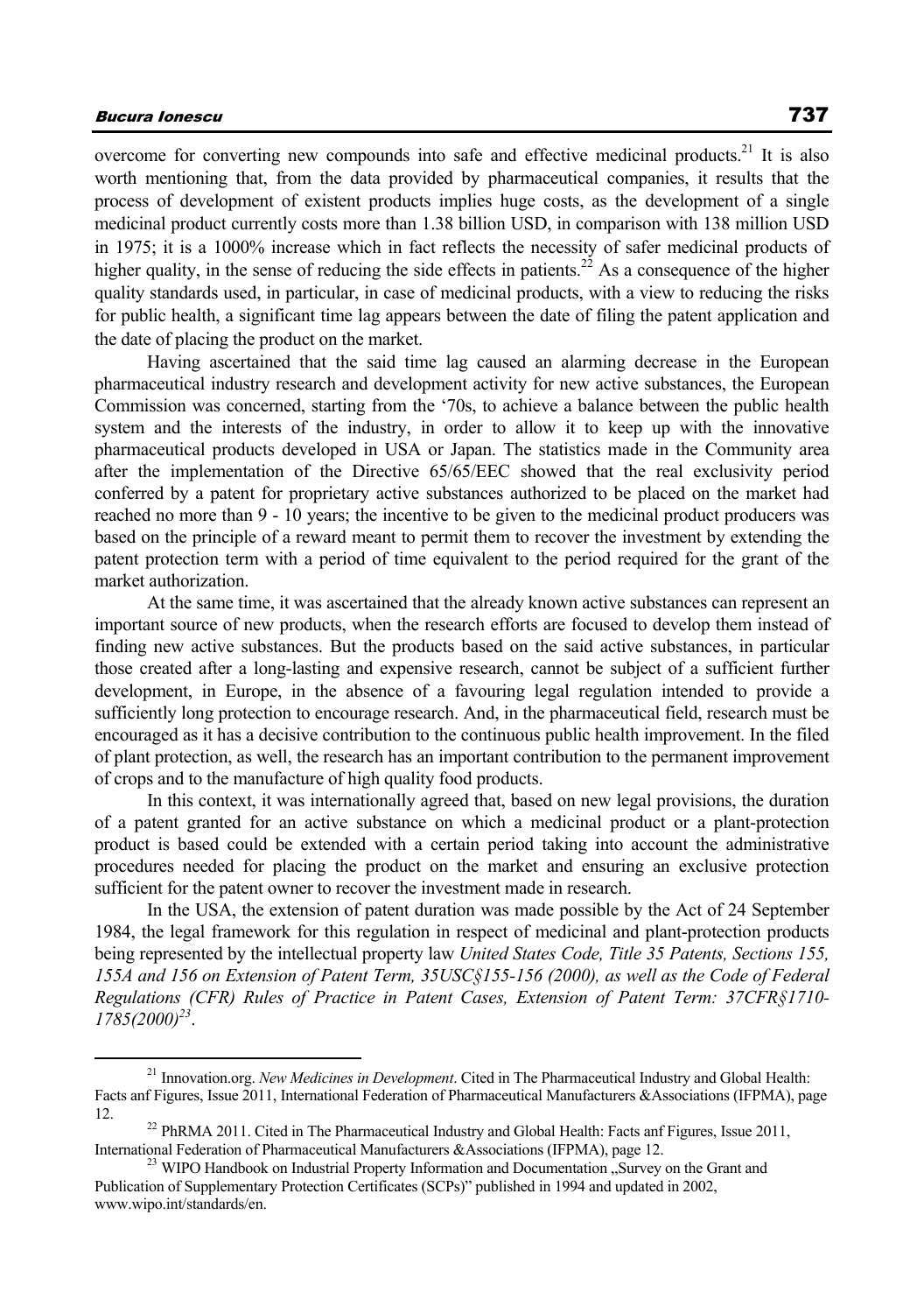overcome for converting new compounds into safe and effective medicinal products.<sup>21</sup> It is also worth mentioning that, from the data provided by pharmaceutical companies, it results that the process of development of existent products implies huge costs, as the development of a single medicinal product currently costs more than 1.38 billion USD, in comparison with 138 million USD in 1975; it is a 1000% increase which in fact reflects the necessity of safer medicinal products of higher quality, in the sense of reducing the side effects in patients.<sup>22</sup> As a consequence of the higher quality standards used, in particular, in case of medicinal products, with a view to reducing the risks for public health, a significant time lag appears between the date of filing the patent application and the date of placing the product on the market.

Having ascertained that the said time lag caused an alarming decrease in the European pharmaceutical industry research and development activity for new active substances, the European Commission was concerned, starting from the '70s, to achieve a balance between the public health system and the interests of the industry, in order to allow it to keep up with the innovative pharmaceutical products developed in USA or Japan. The statistics made in the Community area after the implementation of the Directive 65/65/EEC showed that the real exclusivity period conferred by a patent for proprietary active substances authorized to be placed on the market had reached no more than 9 - 10 years; the incentive to be given to the medicinal product producers was based on the principle of a reward meant to permit them to recover the investment by extending the patent protection term with a period of time equivalent to the period required for the grant of the market authorization.

At the same time, it was ascertained that the already known active substances can represent an important source of new products, when the research efforts are focused to develop them instead of finding new active substances. But the products based on the said active substances, in particular those created after a long-lasting and expensive research, cannot be subject of a sufficient further development, in Europe, in the absence of a favouring legal regulation intended to provide a sufficiently long protection to encourage research. And, in the pharmaceutical field, research must be encouraged as it has a decisive contribution to the continuous public health improvement. In the filed of plant protection, as well, the research has an important contribution to the permanent improvement of crops and to the manufacture of high quality food products.

In this context, it was internationally agreed that, based on new legal provisions, the duration of a patent granted for an active substance on which a medicinal product or a plant-protection product is based could be extended with a certain period taking into account the administrative procedures needed for placing the product on the market and ensuring an exclusive protection sufficient for the patent owner to recover the investment made in research.

In the USA, the extension of patent duration was made possible by the Act of 24 September 1984, the legal framework for this regulation in respect of medicinal and plant-protection products being represented by the intellectual property law *United States Code, Title 35 Patents, Sections 155, 155A and 156 on Extension of Patent Term, 35USC§155-156 (2000), as well as the Code of Federal Regulations (CFR) Rules of Practice in Patent Cases, Extension of Patent Term: 37CFR§1710- 1785(2000)23*.

 <sup>21</sup> Innovation.org. *New Medicines in Development*. Cited in The Pharmaceutical Industry and Global Health: Facts anf Figures, Issue 2011, International Federation of Pharmaceutical Manufacturers &Associations (IFPMA), page 12. 22 PhRMA 2011. Cited in The Pharmaceutical Industry and Global Health: Facts anf Figures, Issue 2011,

International Federation of Pharmaceutical Manufacturers &Associations (IFPMA), page 12.<br><sup>23</sup> WIPO Handbook on Industrial Property Information and Documentation "Survey on the Grant and

Publication of Supplementary Protection Certificates (SCPs)" published in 1994 and updated in 2002, www.wipo.int/standards/en.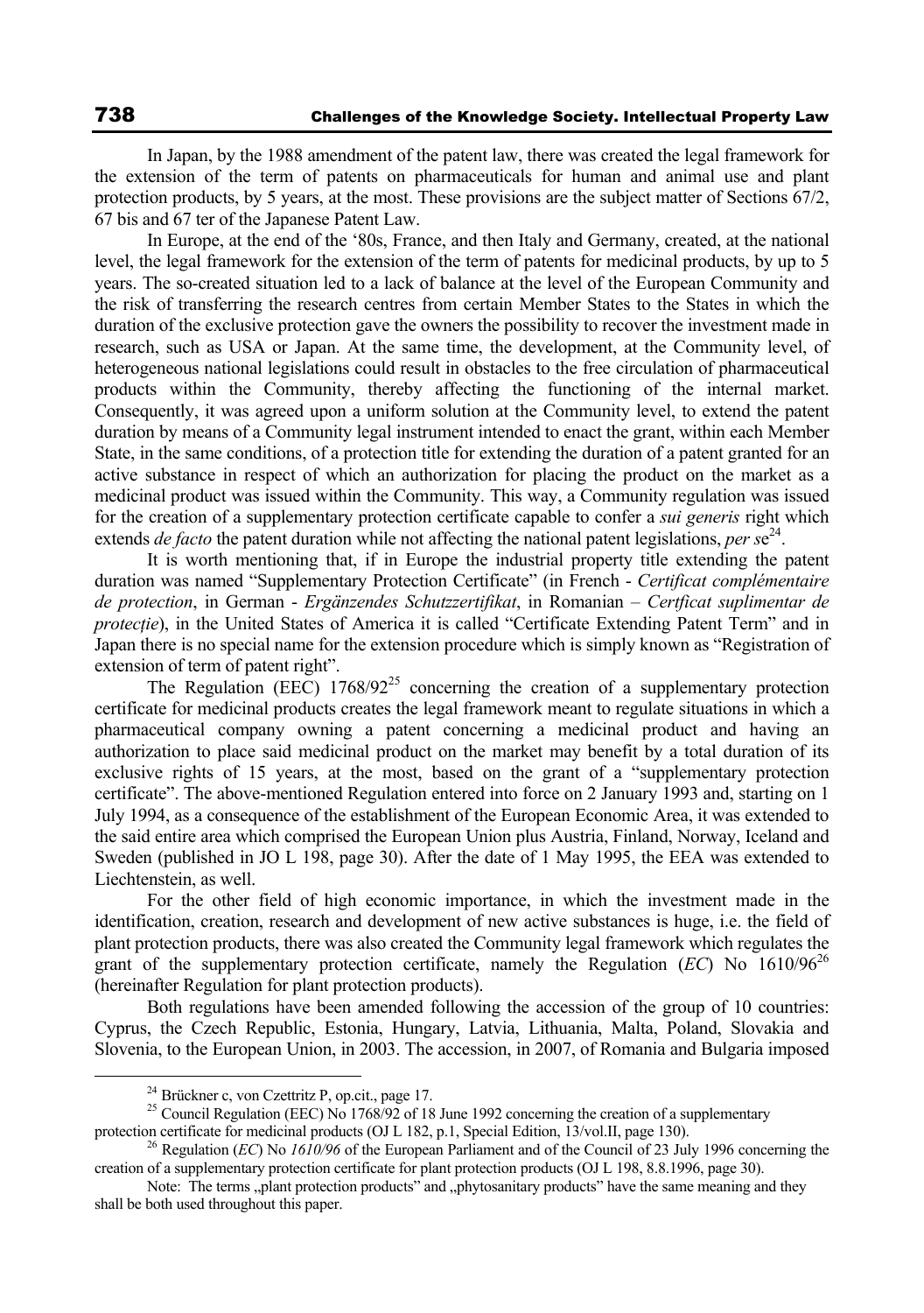In Japan, by the 1988 amendment of the patent law, there was created the legal framework for the extension of the term of patents on pharmaceuticals for human and animal use and plant protection products, by 5 years, at the most. These provisions are the subject matter of Sections 67/2, 67 bis and 67 ter of the Japanese Patent Law.

In Europe, at the end of the '80s, France, and then Italy and Germany, created, at the national level, the legal framework for the extension of the term of patents for medicinal products, by up to 5 years. The so-created situation led to a lack of balance at the level of the European Community and the risk of transferring the research centres from certain Member States to the States in which the duration of the exclusive protection gave the owners the possibility to recover the investment made in research, such as USA or Japan. At the same time, the development, at the Community level, of heterogeneous national legislations could result in obstacles to the free circulation of pharmaceutical products within the Community, thereby affecting the functioning of the internal market. Consequently, it was agreed upon a uniform solution at the Community level, to extend the patent duration by means of a Community legal instrument intended to enact the grant, within each Member State, in the same conditions, of a protection title for extending the duration of a patent granted for an active substance in respect of which an authorization for placing the product on the market as a medicinal product was issued within the Community. This way, a Community regulation was issued for the creation of a supplementary protection certificate capable to confer a *sui generis* right which extends *de facto* the patent duration while not affecting the national patent legislations, *per s*e 24.

It is worth mentioning that, if in Europe the industrial property title extending the patent duration was named "Supplementary Protection Certificate" (in French - *Certificat complémentaire de protection*, in German - *Ergänzendes Schutzzertifikat*, in Romanian – *Certficat suplimentar de protecţie*), in the United States of America it is called "Certificate Extending Patent Term" and in Japan there is no special name for the extension procedure which is simply known as "Registration of extension of term of patent right".

The Regulation (EEC)  $1768/92^{25}$  concerning the creation of a supplementary protection certificate for medicinal products creates the legal framework meant to regulate situations in which a pharmaceutical company owning a patent concerning a medicinal product and having an authorization to place said medicinal product on the market may benefit by a total duration of its exclusive rights of 15 years, at the most, based on the grant of a "supplementary protection certificate". The above-mentioned Regulation entered into force on 2 January 1993 and, starting on 1 July 1994, as a consequence of the establishment of the European Economic Area, it was extended to the said entire area which comprised the European Union plus Austria, Finland, Norway, Iceland and Sweden (published in JO L 198, page 30). After the date of 1 May 1995, the EEA was extended to Liechtenstein, as well.

For the other field of high economic importance, in which the investment made in the identification, creation, research and development of new active substances is huge, i.e. the field of plant protection products, there was also created the Community legal framework which regulates the grant of the supplementary protection certificate, namely the Regulation ( $EC$ ) No  $1610/96^{26}$ (hereinafter Regulation for plant protection products).

Both regulations have been amended following the accession of the group of 10 countries: Cyprus, the Czech Republic, Estonia, Hungary, Latvia, Lithuania, Malta, Poland, Slovakia and Slovenia, to the European Union, in 2003. The accession, in 2007, of Romania and Bulgaria imposed

<sup>&</sup>lt;sup>24</sup> Brückner c, von Czettritz P, op.cit., page 17.<br><sup>25</sup> Council Regulation (EEC) No 1768/92 of 18 June 1992 concerning the creation of a supplementary protection certificate for medicinal products (OJ L 182, p.1, Special

<sup>&</sup>lt;sup>26</sup> Regulation (*EC*) No *1610/96* of the European Parliament and of the Council of 23 July 1996 concerning the creation of a supplementary protection certificate for plant protection products (OJ L 198, 8.8.1996, page 30).

Note: The terms "plant protection products" and "phytosanitary products" have the same meaning and they shall be both used throughout this paper.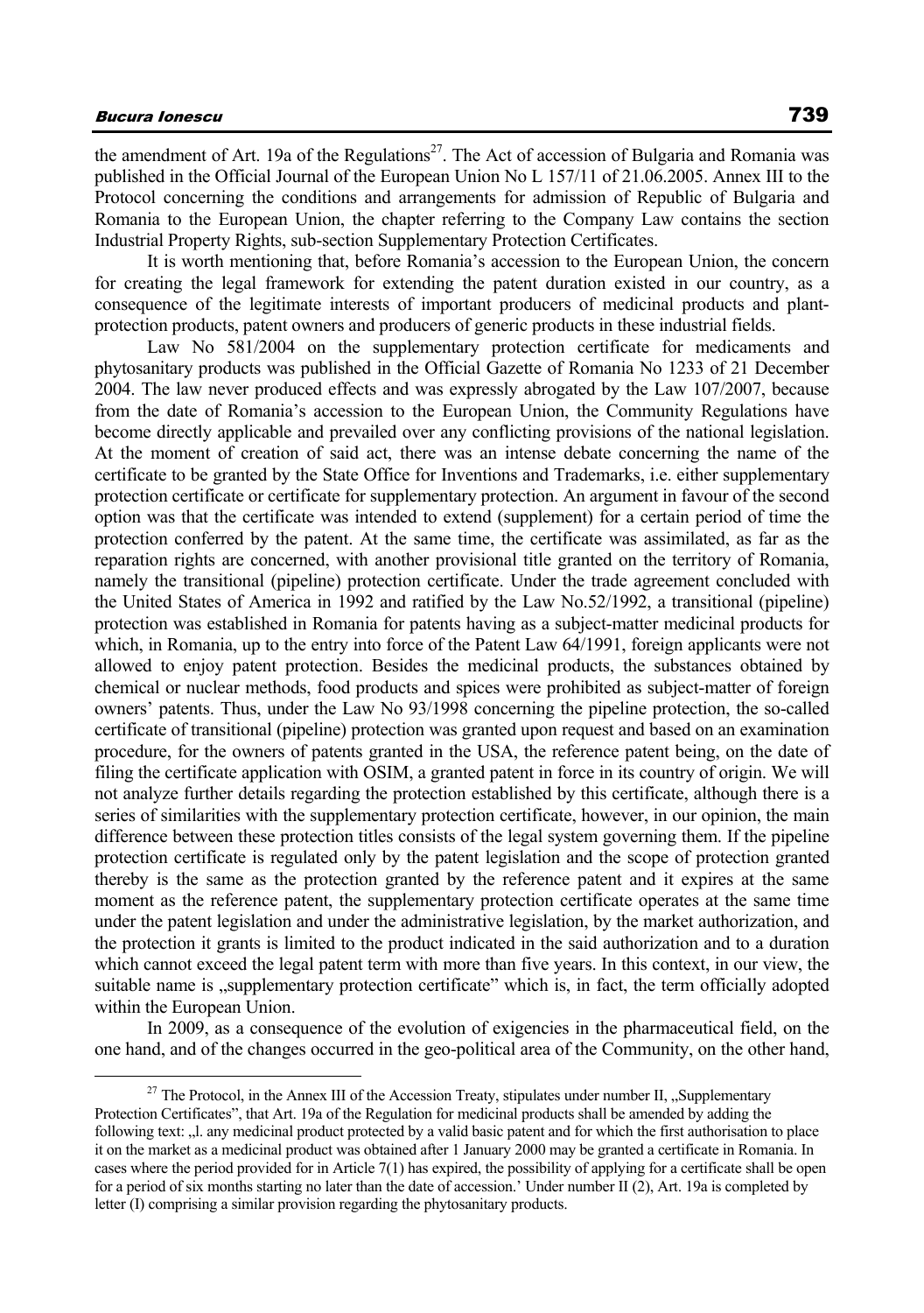the amendment of Art. 19a of the Regulations<sup>27</sup>. The Act of accession of Bulgaria and Romania was published in the Official Journal of the European Union No L 157/11 of 21.06.2005. Annex III to the Protocol concerning the conditions and arrangements for admission of Republic of Bulgaria and Romania to the European Union, the chapter referring to the Company Law contains the section Industrial Property Rights, sub-section Supplementary Protection Certificates.

It is worth mentioning that, before Romania's accession to the European Union, the concern for creating the legal framework for extending the patent duration existed in our country, as a consequence of the legitimate interests of important producers of medicinal products and plantprotection products, patent owners and producers of generic products in these industrial fields.

Law No 581/2004 on the supplementary protection certificate for medicaments and phytosanitary products was published in the Official Gazette of Romania No 1233 of 21 December 2004. The law never produced effects and was expressly abrogated by the Law 107/2007, because from the date of Romania's accession to the European Union, the Community Regulations have become directly applicable and prevailed over any conflicting provisions of the national legislation. At the moment of creation of said act, there was an intense debate concerning the name of the certificate to be granted by the State Office for Inventions and Trademarks, i.e. either supplementary protection certificate or certificate for supplementary protection. An argument in favour of the second option was that the certificate was intended to extend (supplement) for a certain period of time the protection conferred by the patent. At the same time, the certificate was assimilated, as far as the reparation rights are concerned, with another provisional title granted on the territory of Romania, namely the transitional (pipeline) protection certificate. Under the trade agreement concluded with the United States of America in 1992 and ratified by the Law No.52/1992, a transitional (pipeline) protection was established in Romania for patents having as a subject-matter medicinal products for which, in Romania, up to the entry into force of the Patent Law 64/1991, foreign applicants were not allowed to enjoy patent protection. Besides the medicinal products, the substances obtained by chemical or nuclear methods, food products and spices were prohibited as subject-matter of foreign owners' patents. Thus, under the Law No 93/1998 concerning the pipeline protection, the so-called certificate of transitional (pipeline) protection was granted upon request and based on an examination procedure, for the owners of patents granted in the USA, the reference patent being, on the date of filing the certificate application with OSIM, a granted patent in force in its country of origin. We will not analyze further details regarding the protection established by this certificate, although there is a series of similarities with the supplementary protection certificate, however, in our opinion, the main difference between these protection titles consists of the legal system governing them. If the pipeline protection certificate is regulated only by the patent legislation and the scope of protection granted thereby is the same as the protection granted by the reference patent and it expires at the same moment as the reference patent, the supplementary protection certificate operates at the same time under the patent legislation and under the administrative legislation, by the market authorization, and the protection it grants is limited to the product indicated in the said authorization and to a duration which cannot exceed the legal patent term with more than five years. In this context, in our view, the suitable name is "supplementary protection certificate" which is, in fact, the term officially adopted within the European Union.

In 2009, as a consequence of the evolution of exigencies in the pharmaceutical field, on the one hand, and of the changes occurred in the geo-political area of the Community, on the other hand,

<sup>&</sup>lt;sup>27</sup> The Protocol, in the Annex III of the Accession Treaty, stipulates under number II, "Supplementary Protection Certificates", that Art. 19a of the Regulation for medicinal products shall be amended by adding the following text: "I. any medicinal product protected by a valid basic patent and for which the first authorisation to place it on the market as a medicinal product was obtained after 1 January 2000 may be granted a certificate in Romania. In cases where the period provided for in Article 7(1) has expired, the possibility of applying for a certificate shall be open for a period of six months starting no later than the date of accession.' Under number II (2), Art. 19a is completed by letter (I) comprising a similar provision regarding the phytosanitary products.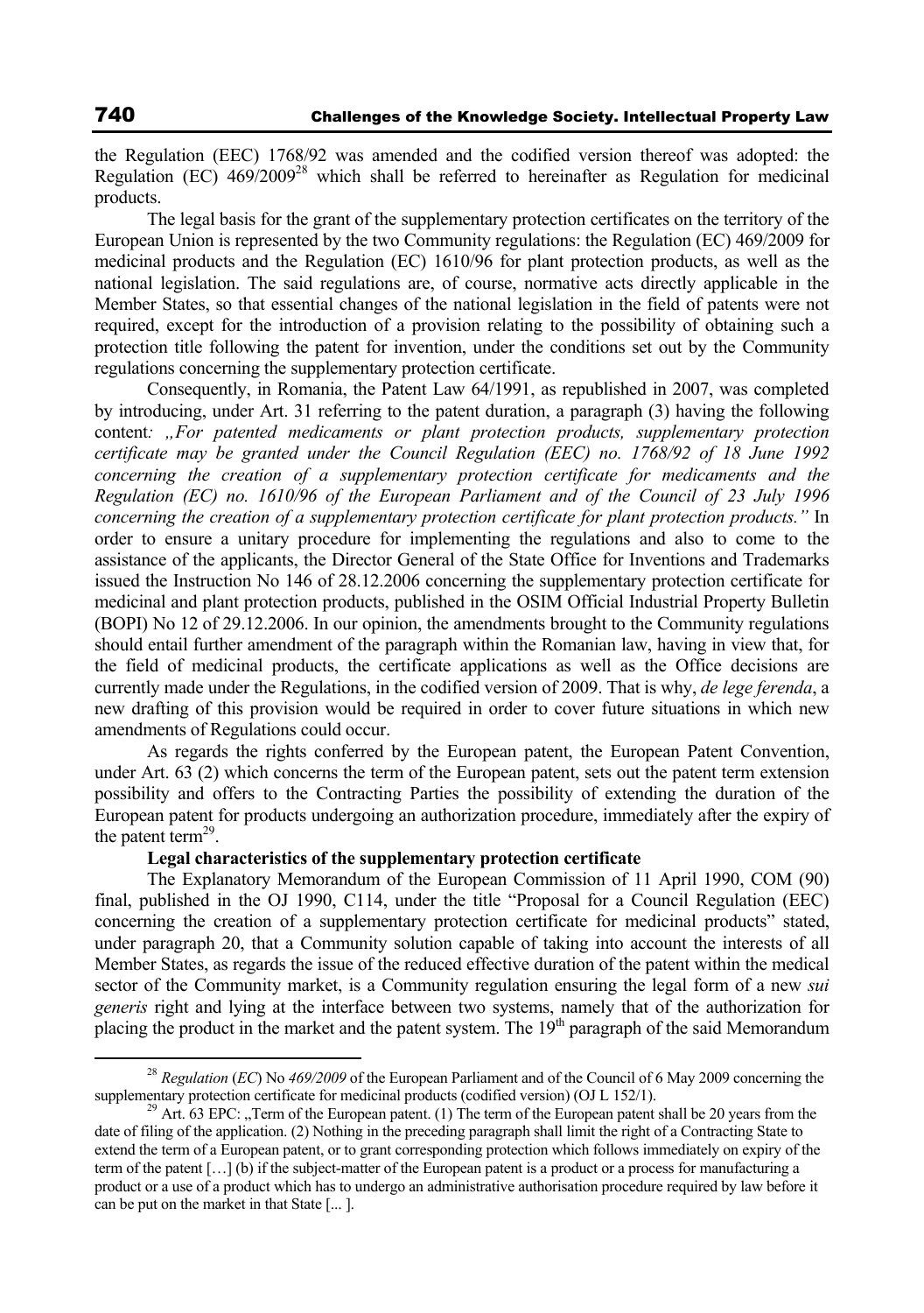the Regulation (EEC) 1768/92 was amended and the codified version thereof was adopted: the Regulation (EC)  $469/2009^{28}$  which shall be referred to hereinafter as Regulation for medicinal products.

The legal basis for the grant of the supplementary protection certificates on the territory of the European Union is represented by the two Community regulations: the Regulation (EC) 469/2009 for medicinal products and the Regulation (EC) 1610/96 for plant protection products, as well as the national legislation. The said regulations are, of course, normative acts directly applicable in the Member States, so that essential changes of the national legislation in the field of patents were not required, except for the introduction of a provision relating to the possibility of obtaining such a protection title following the patent for invention, under the conditions set out by the Community regulations concerning the supplementary protection certificate.

Consequently, in Romania, the Patent Law 64/1991, as republished in 2007, was completed by introducing, under Art. 31 referring to the patent duration, a paragraph (3) having the following content*: "For patented medicaments or plant protection products, supplementary protection certificate may be granted under the Council Regulation (EEC) no. 1768/92 of 18 June 1992 concerning the creation of a supplementary protection certificate for medicaments and the Regulation (EC) no. 1610/96 of the European Parliament and of the Council of 23 July 1996 concerning the creation of a supplementary protection certificate for plant protection products."* In order to ensure a unitary procedure for implementing the regulations and also to come to the assistance of the applicants, the Director General of the State Office for Inventions and Trademarks issued the Instruction No 146 of 28.12.2006 concerning the supplementary protection certificate for medicinal and plant protection products, published in the OSIM Official Industrial Property Bulletin (BOPI) No 12 of 29.12.2006. In our opinion, the amendments brought to the Community regulations should entail further amendment of the paragraph within the Romanian law, having in view that, for the field of medicinal products, the certificate applications as well as the Office decisions are currently made under the Regulations, in the codified version of 2009. That is why, *de lege ferenda*, a new drafting of this provision would be required in order to cover future situations in which new amendments of Regulations could occur.

As regards the rights conferred by the European patent, the European Patent Convention, under Art. 63 (2) which concerns the term of the European patent, sets out the patent term extension possibility and offers to the Contracting Parties the possibility of extending the duration of the European patent for products undergoing an authorization procedure, immediately after the expiry of the patent term<sup>29</sup>.

### **Legal characteristics of the supplementary protection certificate**

The Explanatory Memorandum of the European Commission of 11 April 1990, COM (90) final, published in the OJ 1990, C114, under the title "Proposal for a Council Regulation (EEC) concerning the creation of a supplementary protection certificate for medicinal products" stated, under paragraph 20, that a Community solution capable of taking into account the interests of all Member States, as regards the issue of the reduced effective duration of the patent within the medical sector of the Community market, is a Community regulation ensuring the legal form of a new *sui generis* right and lying at the interface between two systems, namely that of the authorization for placing the product in the market and the patent system. The  $19<sup>th</sup>$  paragraph of the said Memorandum

<sup>&</sup>lt;sup>28</sup> *Regulation* (*EC*) No 469/2009 of the European Parliament and of the Council of 6 May 2009 concerning the supplementary protection certificate for medicinal products (codified version) (OJ L 152/1).

<sup>&</sup>lt;sup>29</sup> Art. 63 EPC: "Term of the European patent. (1) The term of the European patent shall be 20 years from the date of filing of the application. (2) Nothing in the preceding paragraph shall limit the right of a Contracting State to extend the term of a European patent, or to grant corresponding protection which follows immediately on expiry of the term of the patent […] (b) if the subject-matter of the European patent is a product or a process for manufacturing a product or a use of a product which has to undergo an administrative authorisation procedure required by law before it can be put on the market in that State [... ].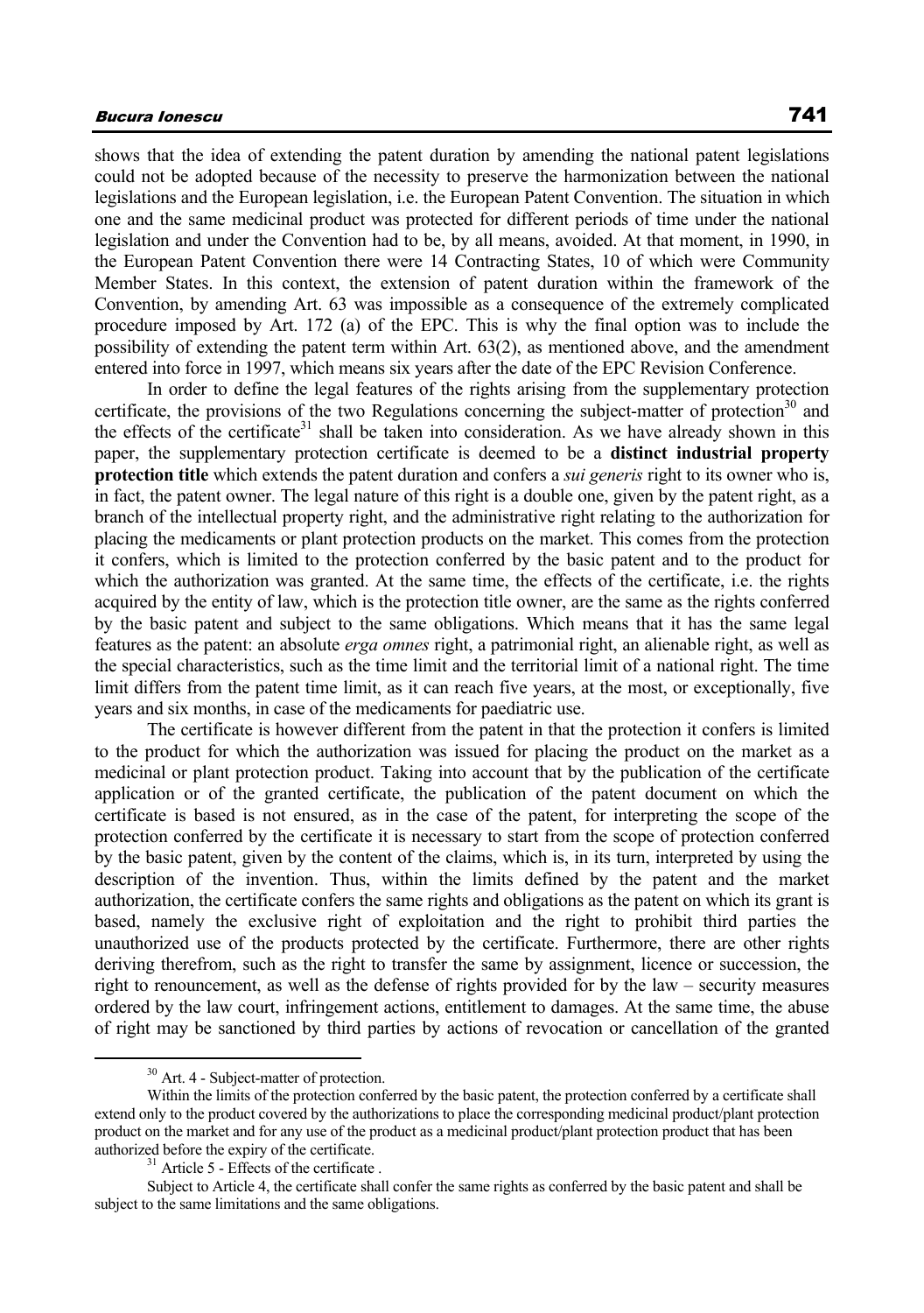shows that the idea of extending the patent duration by amending the national patent legislations could not be adopted because of the necessity to preserve the harmonization between the national legislations and the European legislation, i.e. the European Patent Convention. The situation in which one and the same medicinal product was protected for different periods of time under the national legislation and under the Convention had to be, by all means, avoided. At that moment, in 1990, in the European Patent Convention there were 14 Contracting States, 10 of which were Community Member States. In this context, the extension of patent duration within the framework of the Convention, by amending Art. 63 was impossible as a consequence of the extremely complicated procedure imposed by Art. 172 (a) of the EPC. This is why the final option was to include the possibility of extending the patent term within Art. 63(2), as mentioned above, and the amendment entered into force in 1997, which means six years after the date of the EPC Revision Conference.

In order to define the legal features of the rights arising from the supplementary protection certificate, the provisions of the two Regulations concerning the subject-matter of protection<sup>30</sup> and the effects of the certificate<sup>31</sup> shall be taken into consideration. As we have already shown in this paper, the supplementary protection certificate is deemed to be a **distinct industrial property protection title** which extends the patent duration and confers a *sui generis* right to its owner who is, in fact, the patent owner. The legal nature of this right is a double one, given by the patent right, as a branch of the intellectual property right, and the administrative right relating to the authorization for placing the medicaments or plant protection products on the market. This comes from the protection it confers, which is limited to the protection conferred by the basic patent and to the product for which the authorization was granted. At the same time, the effects of the certificate, i.e. the rights acquired by the entity of law, which is the protection title owner, are the same as the rights conferred by the basic patent and subject to the same obligations. Which means that it has the same legal features as the patent: an absolute *erga omnes* right, a patrimonial right, an alienable right, as well as the special characteristics, such as the time limit and the territorial limit of a national right. The time limit differs from the patent time limit, as it can reach five years, at the most, or exceptionally, five years and six months, in case of the medicaments for paediatric use.

The certificate is however different from the patent in that the protection it confers is limited to the product for which the authorization was issued for placing the product on the market as a medicinal or plant protection product. Taking into account that by the publication of the certificate application or of the granted certificate, the publication of the patent document on which the certificate is based is not ensured, as in the case of the patent, for interpreting the scope of the protection conferred by the certificate it is necessary to start from the scope of protection conferred by the basic patent, given by the content of the claims, which is, in its turn, interpreted by using the description of the invention. Thus, within the limits defined by the patent and the market authorization, the certificate confers the same rights and obligations as the patent on which its grant is based, namely the exclusive right of exploitation and the right to prohibit third parties the unauthorized use of the products protected by the certificate. Furthermore, there are other rights deriving therefrom, such as the right to transfer the same by assignment, licence or succession, the right to renouncement, as well as the defense of rights provided for by the law – security measures ordered by the law court, infringement actions, entitlement to damages. At the same time, the abuse of right may be sanctioned by third parties by actions of revocation or cancellation of the granted

 <sup>30</sup> Art. 4 - Subject-matter of protection.

Within the limits of the protection conferred by the basic patent, the protection conferred by a certificate shall extend only to the product covered by the authorizations to place the corresponding medicinal product/plant protection product on the market and for any use of the product as a medicinal product/plant protection product that has been authorized before the expiry of the certificate.<br><sup>31</sup> Article 5 - Effects of the certificate.

Subject to Article 4, the certificate shall confer the same rights as conferred by the basic patent and shall be subject to the same limitations and the same obligations.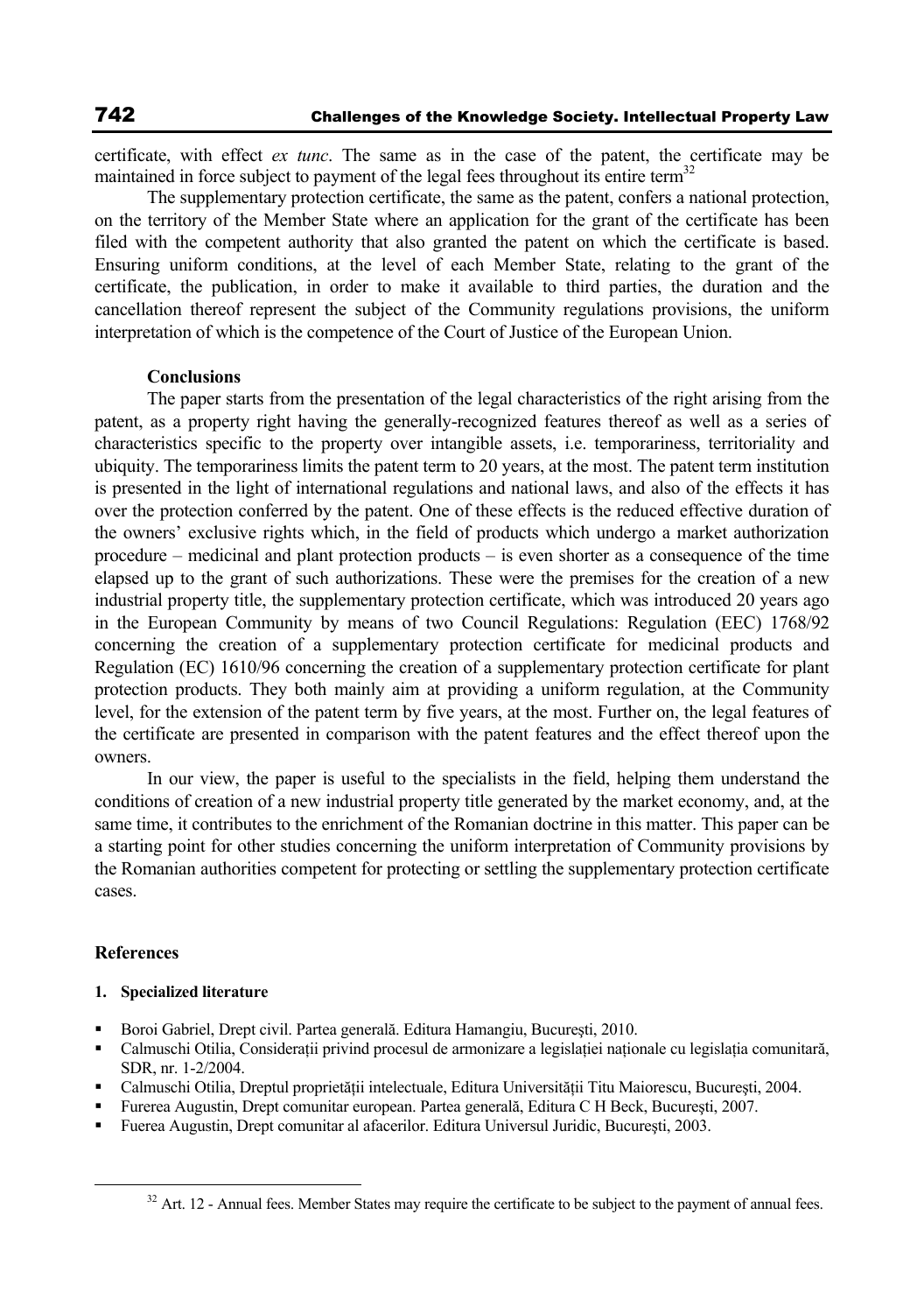certificate, with effect *ex tunc*. The same as in the case of the patent, the certificate may be maintained in force subject to payment of the legal fees throughout its entire term<sup>32</sup>

The supplementary protection certificate, the same as the patent, confers a national protection, on the territory of the Member State where an application for the grant of the certificate has been filed with the competent authority that also granted the patent on which the certificate is based. Ensuring uniform conditions, at the level of each Member State, relating to the grant of the certificate, the publication, in order to make it available to third parties, the duration and the cancellation thereof represent the subject of the Community regulations provisions, the uniform interpretation of which is the competence of the Court of Justice of the European Union.

### **Conclusions**

The paper starts from the presentation of the legal characteristics of the right arising from the patent, as a property right having the generally-recognized features thereof as well as a series of characteristics specific to the property over intangible assets, i.e. temporariness, territoriality and ubiquity. The temporariness limits the patent term to 20 years, at the most. The patent term institution is presented in the light of international regulations and national laws, and also of the effects it has over the protection conferred by the patent. One of these effects is the reduced effective duration of the owners' exclusive rights which, in the field of products which undergo a market authorization procedure – medicinal and plant protection products – is even shorter as a consequence of the time elapsed up to the grant of such authorizations. These were the premises for the creation of a new industrial property title, the supplementary protection certificate, which was introduced 20 years ago in the European Community by means of two Council Regulations: Regulation (EEC) 1768/92 concerning the creation of a supplementary protection certificate for medicinal products and Regulation (EC) 1610/96 concerning the creation of a supplementary protection certificate for plant protection products. They both mainly aim at providing a uniform regulation, at the Community level, for the extension of the patent term by five years, at the most. Further on, the legal features of the certificate are presented in comparison with the patent features and the effect thereof upon the owners.

In our view, the paper is useful to the specialists in the field, helping them understand the conditions of creation of a new industrial property title generated by the market economy, and, at the same time, it contributes to the enrichment of the Romanian doctrine in this matter. This paper can be a starting point for other studies concerning the uniform interpretation of Community provisions by the Romanian authorities competent for protecting or settling the supplementary protection certificate cases.

## **References**

### **1. Specialized literature**

- Boroi Gabriel, Drept civil. Partea generală. Editura Hamangiu, Bucureşti, 2010.
- Calmuschi Otilia, Considerații privind procesul de armonizare a legislației naționale cu legislația comunitară, SDR, nr. 1-2/2004.
- Calmuschi Otilia, Dreptul proprietății intelectuale, Editura Universității Titu Maiorescu, București, 2004.
- Furerea Augustin, Drept comunitar european. Partea generală, Editura C H Beck, Bucureşti, 2007.
- Fuerea Augustin, Drept comunitar al afacerilor. Editura Universul Juridic, Bucureşti, 2003.

 $32$  Art. 12 - Annual fees. Member States may require the certificate to be subject to the payment of annual fees.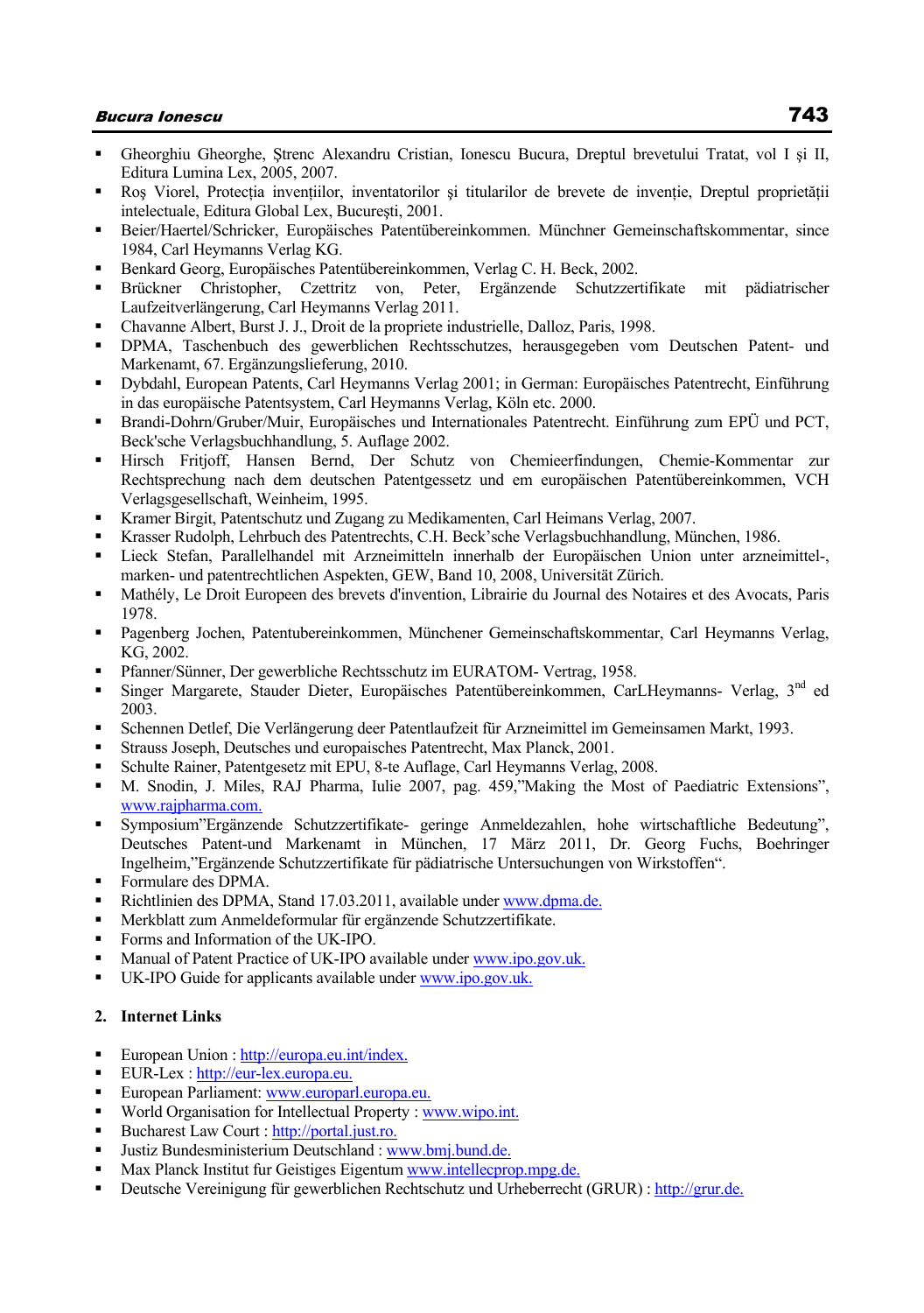- Gheorghiu Gheorghe, Ştrenc Alexandru Cristian, Ionescu Bucura, Dreptul brevetului Tratat, vol I şi II, Editura Lumina Lex, 2005, 2007.
- Ros Viorel, Protectia inventiilor, inventatorilor și titularilor de brevete de inventie. Dreptul proprietății intelectuale, Editura Global Lex, Bucureşti, 2001.
- Beier/Haertel/Schricker, Europäisches Patentübereinkommen. Münchner Gemeinschaftskommentar, since 1984, Carl Heymanns Verlag KG.
- Benkard Georg, Europäisches Patentübereinkommen, Verlag C. H. Beck, 2002.
- Brückner Christopher, Czettritz von, Peter, Ergänzende Schutzzertifikate mit pädiatrischer Laufzeitverlängerung, Carl Heymanns Verlag 2011.
- Chavanne Albert, Burst J. J., Droit de la propriete industrielle, Dalloz, Paris, 1998.
- DPMA, Taschenbuch des gewerblichen Rechtsschutzes, herausgegeben vom Deutschen Patent- und Markenamt, 67. Ergänzungslieferung, 2010.
- Dybdahl, European Patents, Carl Heymanns Verlag 2001; in German: Europäisches Patentrecht, Einführung in das europäische Patentsystem, Carl Heymanns Verlag, Köln etc. 2000.
- Brandi-Dohrn/Gruber/Muir, Europäisches und Internationales Patentrecht. Einführung zum EPÜ und PCT, Beck'sche Verlagsbuchhandlung, 5. Auflage 2002.
- Hirsch Fritjoff, Hansen Bernd, Der Schutz von Chemieerfindungen, Chemie-Kommentar zur Rechtsprechung nach dem deutschen Patentgessetz und em europäischen Patentübereinkommen, VCH Verlagsgesellschaft, Weinheim, 1995.
- Kramer Birgit, Patentschutz und Zugang zu Medikamenten, Carl Heimans Verlag, 2007.
- Krasser Rudolph, Lehrbuch des Patentrechts, C.H. Beck'sche Verlagsbuchhandlung, München, 1986.
- Lieck Stefan, Parallelhandel mit Arzneimitteln innerhalb der Europäischen Union unter arzneimittel-, marken- und patentrechtlichen Aspekten, GEW, Band 10, 2008, Universität Zürich.
- Mathély, Le Droit Europeen des brevets d'invention, Librairie du Journal des Notaires et des Avocats, Paris 1978.
- Pagenberg Jochen, Patentubereinkommen, Münchener Gemeinschaftskommentar, Carl Heymanns Verlag, KG, 2002.
- Pfanner/Sünner, Der gewerbliche Rechtsschutz im EURATOM- Vertrag, 1958.
- Singer Margarete, Stauder Dieter, Europäisches Patentübereinkommen, CarLHeymanns- Verlag, 3nd ed 2003.
- Schennen Detlef, Die Verlängerung deer Patentlaufzeit für Arzneimittel im Gemeinsamen Markt, 1993.
- Strauss Joseph, Deutsches und europaisches Patentrecht, Max Planck, 2001.
- Schulte Rainer, Patentgesetz mit EPU, 8-te Auflage, Carl Heymanns Verlag, 2008.
- M. Snodin, J. Miles, RAJ Pharma, Iulie 2007, pag. 459,"Making the Most of Paediatric Extensions", www.rajpharma.com.
- Symposium"Ergänzende Schutzzertifikate- geringe Anmeldezahlen, hohe wirtschaftliche Bedeutung", Deutsches Patent-und Markenamt in München, 17 März 2011, Dr. Georg Fuchs, Boehringer Ingelheim,"Ergänzende Schutzzertifikate für pädiatrische Untersuchungen von Wirkstoffen".
- Formulare des DPMA.
- Richtlinien des DPMA, Stand 17.03.2011, available under www.dpma.de.
- Merkblatt zum Anmeldeformular für ergänzende Schutzzertifikate.
- Forms and Information of the UK-IPO.
- Manual of Patent Practice of UK-IPO available under www.ipo.gov.uk.
- UK-IPO Guide for applicants available under www.ipo.gov.uk.

### **2. Internet Links**

- European Union : http://europa.eu.int/index.
- EUR-Lex : http://eur-lex.europa.eu.
- European Parliament: www.europarl.europa.eu.
- World Organisation for Intellectual Property : www.wipo.int.
- Bucharest Law Court : http://portal.just.ro.
- Justiz Bundesministerium Deutschland : www.bmj.bund.de.
- Max Planck Institut fur Geistiges Eigentum www.intellecprop.mpg.de.
- Deutsche Vereinigung für gewerblichen Rechtschutz und Urheberrecht (GRUR) : http://grur.de.